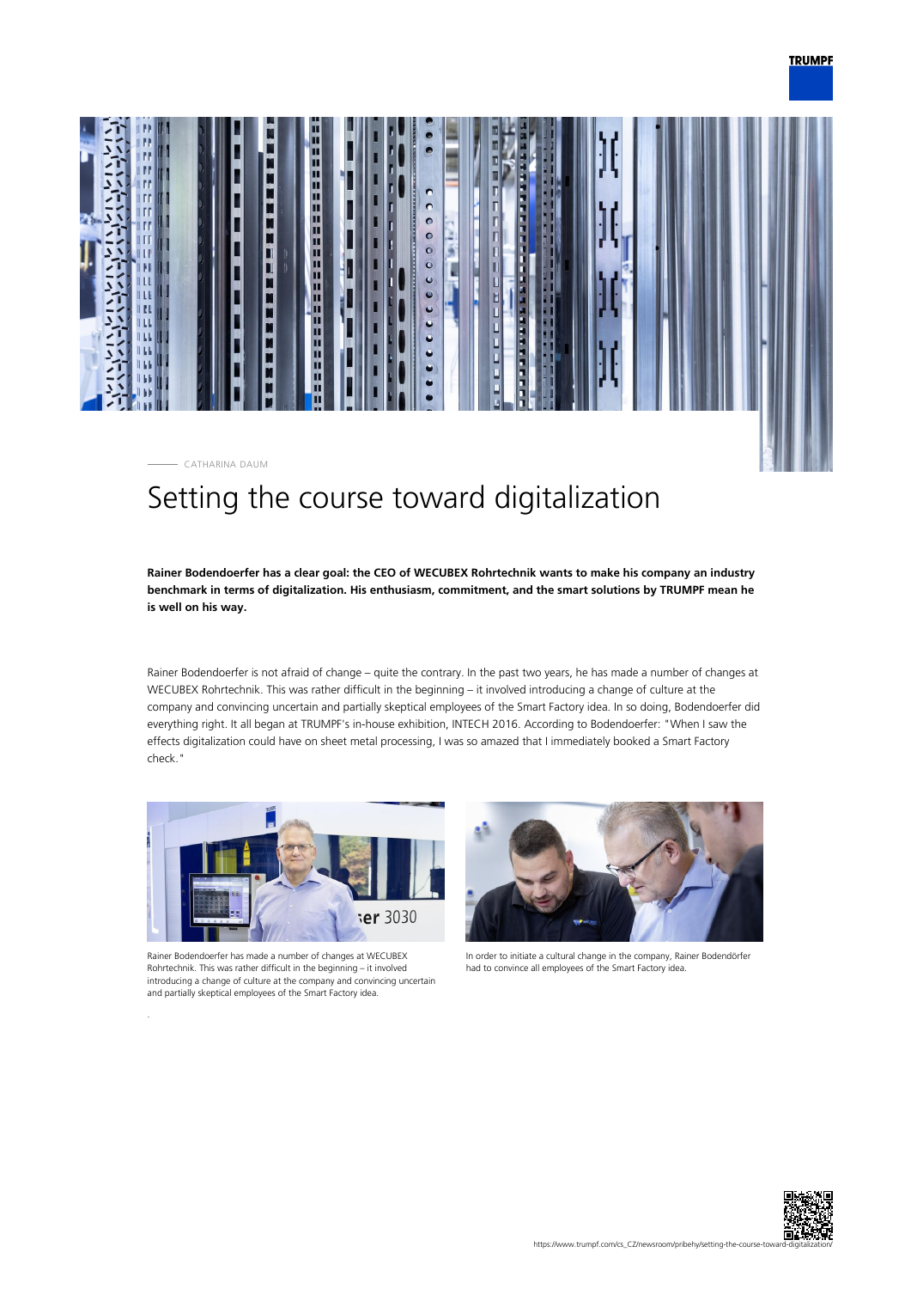



# Setting the course toward digitalization

**Rainer Bodendoerfer has a clear goal: the CEO of WECUBEX Rohrtechnik wants to make his company an industry benchmark in terms of digitalization. His enthusiasm, commitment, and the smart solutions by TRUMPF mean he is well on his way.**

Rainer Bodendoerfer is not afraid of change – quite the contrary. In the past two years, he has made a number of changes at WECUBEX Rohrtechnik. This was rather difficult in the beginning – it involved introducing a change of culture at the company and convincing uncertain and partially skeptical employees of the Smart Factory idea. In so doing, Bodendoerfer did everything right. It all began at TRUMPF's in-house exhibition, INTECH 2016. According to Bodendoerfer: "When I saw the effects digitalization could have on sheet metal processing, I was so amazed that I immediately booked a Smart Factory check."



Rainer Bodendoerfer has made a number of changes at WECUBEX Rohrtechnik. This was rather difficult in the beginning – it involved introducing a change of culture at the company and convincing uncertain and partially skeptical employees of the Smart Factory idea.



In order to initiate a cultural change in the company, Rainer Bodendörfer had to convince all employees of the Smart Factory idea.

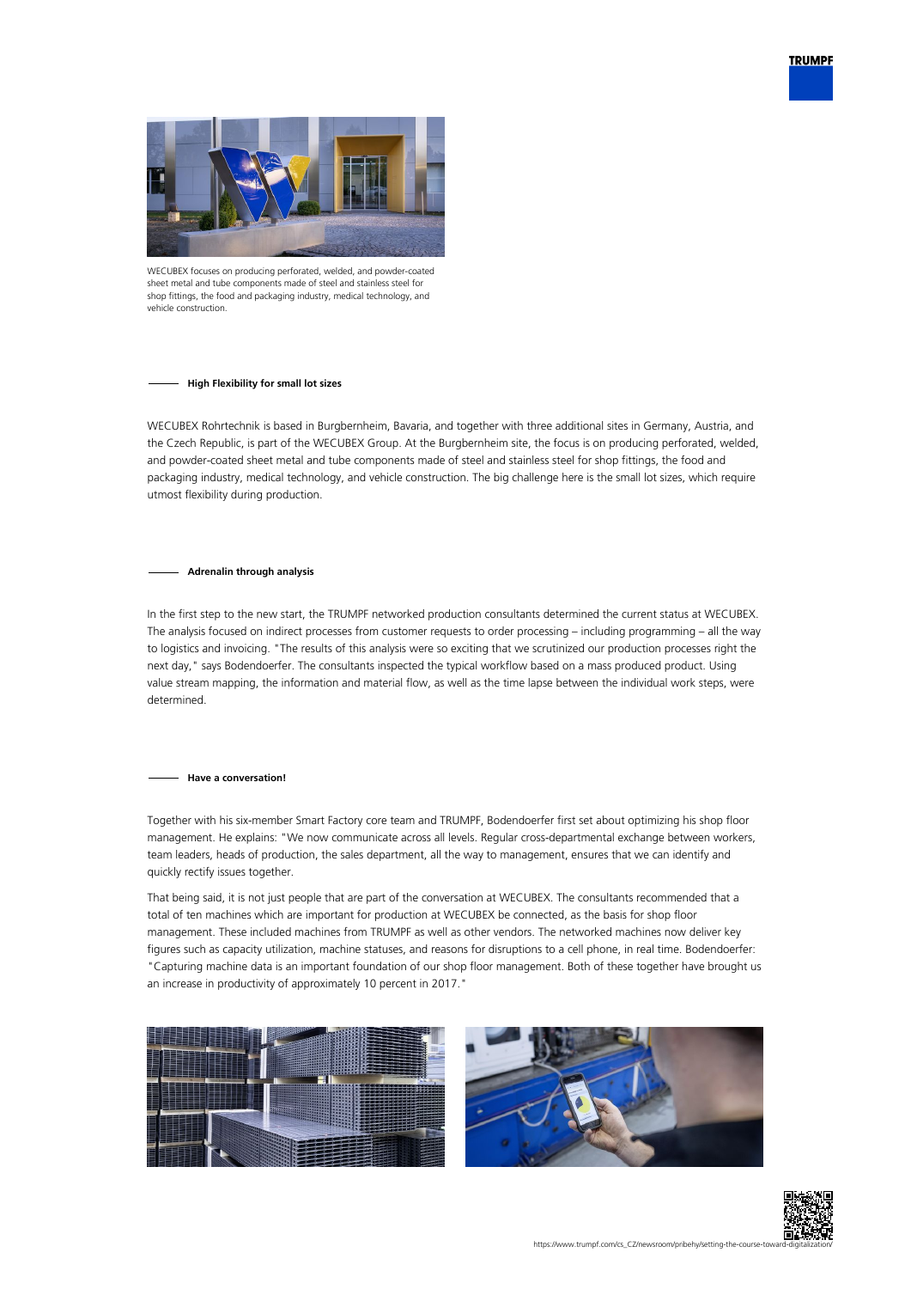



WECUBEX focuses on producing perforated, welded, and powder-coated sheet metal and tube components made of steel and stainless steel for shop fittings, the food and packaging industry, medical technology, and vehicle construction

# **High Flexibility for small lot sizes**

WECUBEX Rohrtechnik is based in Burgbernheim, Bavaria, and together with three additional sites in Germany, Austria, and the Czech Republic, is part of the WECUBEX Group. At the Burgbernheim site, the focus is on producing perforated, welded, and powder-coated sheet metal and tube components made of steel and stainless steel for shop fittings, the food and packaging industry, medical technology, and vehicle construction. The big challenge here is the small lot sizes, which require utmost flexibility during production.

## **Adrenalin through analysis**

In the first step to the new start, the TRUMPF networked production consultants determined the current status at WECUBEX. The analysis focused on indirect processes from customer requests to order processing – including programming – all the way to logistics and invoicing. "The results of this analysis were so exciting that we scrutinized our production processes right the next day," says Bodendoerfer. The consultants inspected the typical workflow based on a mass produced product. Using value stream mapping, the information and material flow, as well as the time lapse between the individual work steps, were determined.

## **Have a conversation!**

Together with his six-member Smart Factory core team and TRUMPF, Bodendoerfer first set about optimizing his shop floor management. He explains: "We now communicate across all levels. Regular cross-departmental exchange between workers, team leaders, heads of production, the sales department, all the way to management, ensures that we can identify and quickly rectify issues together.

That being said, it is not just people that are part of the conversation at WECUBEX. The consultants recommended that a total of ten machines which are important for production at WECUBEX be connected, as the basis for shop floor management. These included machines from TRUMPF as well as other vendors. The networked machines now deliver key figures such as capacity utilization, machine statuses, and reasons for disruptions to a cell phone, in real time. Bodendoerfer: "Capturing machine data is an important foundation of our shop floor management. Both of these together have brought us an increase in productivity of approximately 10 percent in 2017."





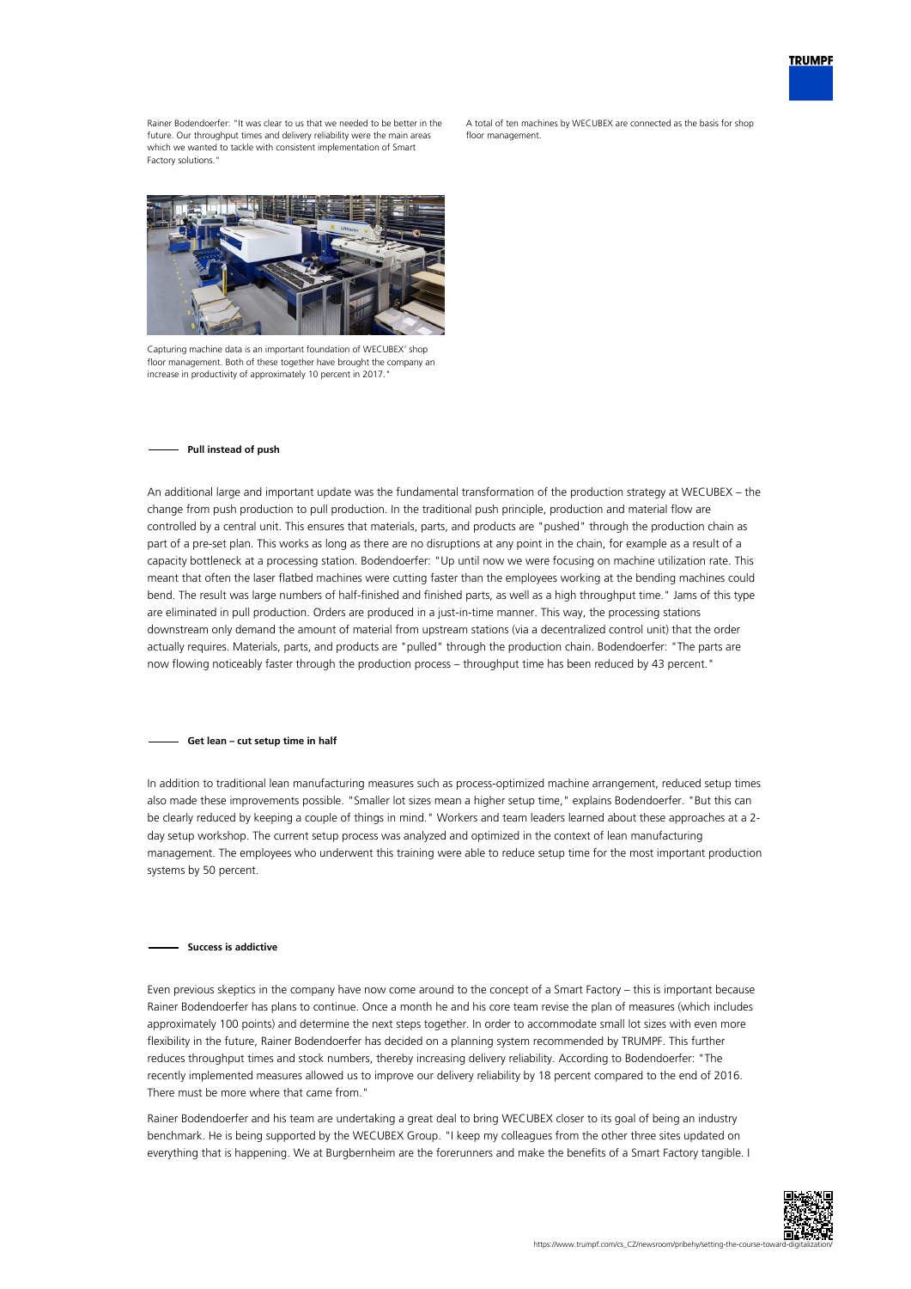

Rainer Bodendoerfer: "It was clear to us that we needed to be better in the future. Our throughput times and delivery reliability were the main areas which we wanted to tackle with consistent implementation of Smart Factory solutions.

A total of ten machines by WECUBEX are connected as the basis for shop floor management



Capturing machine data is an important foundation of WECUBEX' shop floor management. Both of these together have brought the company an increase in productivity of approximately 10 percent in 2017.

#### **Pull instead of push**

An additional large and important update was the fundamental transformation of the production strategy at WECUBEX – the change from push production to pull production. In the traditional push principle, production and material flow are controlled by a central unit. This ensures that materials, parts, and products are "pushed" through the production chain as part of a pre-set plan. This works as long as there are no disruptions at any point in the chain, for example as a result of a capacity bottleneck at a processing station. Bodendoerfer: "Up until now we were focusing on machine utilization rate. This meant that often the laser flatbed machines were cutting faster than the employees working at the bending machines could bend. The result was large numbers of half-finished and finished parts, as well as a high throughput time." Jams of this type are eliminated in pull production. Orders are produced in a just-in-time manner. This way, the processing stations downstream only demand the amount of material from upstream stations (via a decentralized control unit) that the order actually requires. Materials, parts, and products are "pulled" through the production chain. Bodendoerfer: "The parts are now flowing noticeably faster through the production process – throughput time has been reduced by 43 percent."

#### **Get lean – cut setup time in half**

In addition to traditional lean manufacturing measures such as process-optimized machine arrangement, reduced setup times also made these improvements possible. "Smaller lot sizes mean a higher setup time," explains Bodendoerfer. "But this can be clearly reduced by keeping a couple of things in mind." Workers and team leaders learned about these approaches at a 2 day setup workshop. The current setup process was analyzed and optimized in the context of lean manufacturing management. The employees who underwent this training were able to reduce setup time for the most important production systems by 50 percent.

## **Success is addictive**

Even previous skeptics in the company have now come around to the concept of a Smart Factory – this is important because Rainer Bodendoerfer has plans to continue. Once a month he and his core team revise the plan of measures (which includes approximately 100 points) and determine the next steps together. In order to accommodate small lot sizes with even more flexibility in the future, Rainer Bodendoerfer has decided on a planning system recommended by TRUMPF. This further reduces throughput times and stock numbers, thereby increasing delivery reliability. According to Bodendoerfer: "The recently implemented measures allowed us to improve our delivery reliability by 18 percent compared to the end of 2016. There must be more where that came from."

Rainer Bodendoerfer and his team are undertaking a great deal to bring WECUBEX closer to its goal of being an industry benchmark. He is being supported by the WECUBEX Group. "I keep my colleagues from the other three sites updated on everything that is happening. We at Burgbernheim are the forerunners and make the benefits of a Smart Factory tangible. I